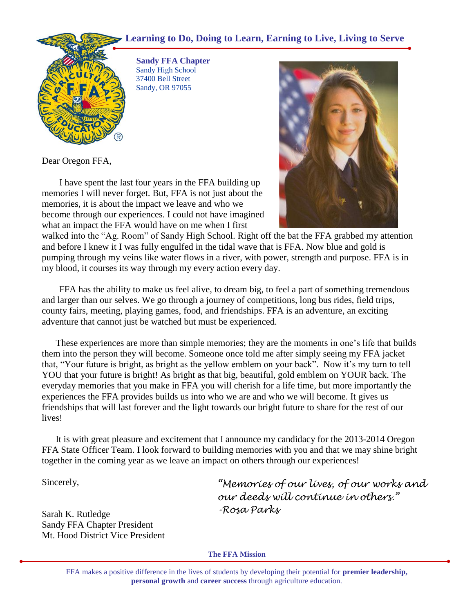## **Learning to Do, Doing to Learn, Earning to Live, Living to Serve**



 **Sandy FFA Chapter** Sandy High School 37400 Bell Street Sandy, OR 97055

Dear Oregon FFA,

I have spent the last four years in the FFA building up memories I will never forget. But, FFA is not just about the memories, it is about the impact we leave and who we become through our experiences. I could not have imagined what an impact the FFA would have on me when I first



walked into the "Ag. Room" of Sandy High School. Right off the bat the FFA grabbed my attention and before I knew it I was fully engulfed in the tidal wave that is FFA. Now blue and gold is pumping through my veins like water flows in a river, with power, strength and purpose. FFA is in my blood, it courses its way through my every action every day.

FFA has the ability to make us feel alive, to dream big, to feel a part of something tremendous and larger than our selves. We go through a journey of competitions, long bus rides, field trips, county fairs, meeting, playing games, food, and friendships. FFA is an adventure, an exciting adventure that cannot just be watched but must be experienced.

These experiences are more than simple memories; they are the moments in one's life that builds them into the person they will become. Someone once told me after simply seeing my FFA jacket that, "Your future is bright, as bright as the yellow emblem on your back". Now it's my turn to tell YOU that your future is bright! As bright as that big, beautiful, gold emblem on YOUR back. The everyday memories that you make in FFA you will cherish for a life time, but more importantly the experiences the FFA provides builds us into who we are and who we will become. It gives us friendships that will last forever and the light towards our bright future to share for the rest of our lives!

It is with great pleasure and excitement that I announce my candidacy for the 2013-2014 Oregon FFA State Officer Team. I look forward to building memories with you and that we may shine bright together in the coming year as we leave an impact on others through our experiences!

Sincerely,

Sarah K. Rutledge Sandy FFA Chapter President Mt. Hood District Vice President *"Memories of our lives, of our works and our deeds will continue in others." -Rosa Parks*

**The FFA Mission**

FFA makes a positive difference in the lives of students by developing their potential for **premier leadership, personal growth** and **career success** through agriculture education.